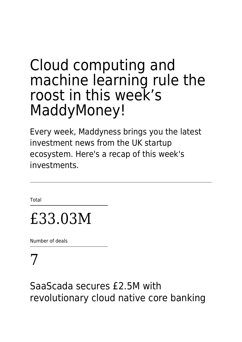# Cloud computing and machine learning rule the roost in this week's MaddyMoney!

Every week, Maddyness brings you the latest investment news from the UK startup ecosystem. Here's a recap of this week's investments.

**Total** 

# £33.03M

Number of deals

# 7

#### SaaScada secures £2.5M with revolutionary cloud native core banking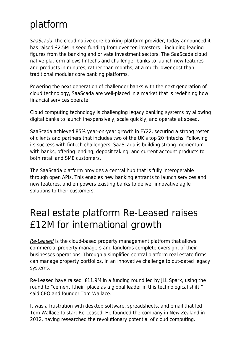### platform

[SaaScada](https://www.saascada.com/), the cloud native core banking platform provider, today announced it has raised £2.5M in seed funding from over ten investors – including leading figures from the banking and private investment sectors. The SaaScada cloud native platform allows fintechs and challenger banks to launch new features and products in minutes, rather than months, at a much lower cost than traditional modular core banking platforms.

Powering the next generation of challenger banks with the next generation of cloud technology, SaaScada are well-placed in a market that is redefining how financial services operate.

Cloud computing technology is challenging legacy banking systems by allowing digital banks to launch inexpensively, scale quickly, and operate at speed.

SaaScada achieved 85% year-on-year growth in FY22, securing a strong roster of clients and partners that includes two of the UK's top 20 fintechs. Following its success with fintech challengers, SaaScada is building strong momentum with banks, offering lending, deposit taking, and current account products to both retail and SME customers.

The SaaScada platform provides a central hub that is fully interoperable through open APIs. This enables new banking entrants to launch services and new features, and empowers existing banks to deliver innovative agile solutions to their customers.

#### Real estate platform Re-Leased raises £12M for international growth

[Re-Leased](https://www.re-leased.com/en-gb/) is the cloud-based property management platform that allows commercial property managers and landlords complete oversight of their businesses operations. Through a simplified central platform real estate firms can manage property portfolios, in an innovative challenge to out-dated legacy systems.

Re-Leased have raised £11.9M in a funding round led by JLL Spark, using the round to "cement [their] place as a global leader in this technological shift," said CEO and founder Tom Wallace.

It was a frustration with desktop software, spreadsheets, and email that led Tom Wallace to start Re-Leased. He founded the company in New Zealand in 2012, having researched the revolutionary potential of cloud computing.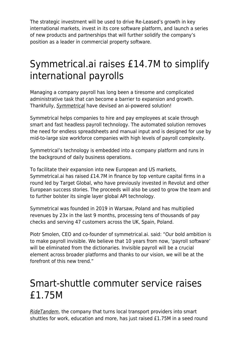The strategic investment will be used to drive Re-Leased's growth in key international markets, invest in its core software platform, and launch a series of new products and partnerships that will further solidify the company's position as a leader in commercial property software.

### Symmetrical.ai raises £14.7M to simplify international payrolls

Managing a company payroll has long been a tiresome and complicated administrative task that can become a barrier to expansion and growth. Thankfully, [Symmetrical](https://symmetrical.ai/) have devised an ai-powered solution!

Symmetrical helps companies to hire and pay employees at scale through smart and fast headless payroll technology. The automated solution removes the need for endless spreadsheets and manual input and is designed for use by mid-to-large size workforce companies with high levels of payroll complexity.

Symmetrical's technology is embedded into a company platform and runs in the background of daily business operations.

To facilitate their expansion into new European and US markets, Symmetrical.ai has raised £14.7M in finance by top venture capital firms in a round led by Target Global, who have previously invested in Revolut and other European success stories. The proceeds will also be used to grow the team and to further bolster its single layer global API technology.

Symmetrical was founded in 2019 in Warsaw, Poland and has multiplied revenues by 23x in the last 9 months, processing tens of thousands of pay checks and serving 47 customers across the UK, Spain, Poland.

Piotr Smolen, CEO and co-founder of symmetrical.ai. said: "Our bold ambition is to make payroll invisible. We believe that 10 years from now, 'payroll software' will be eliminated from the dictionaries. Invisible payroll will be a crucial element across broader platforms and thanks to our vision, we will be at the forefront of this new trend."

#### Smart-shuttle commuter service raises £1.75M

[RideTandem](https://www.ridetandem.co/), the company that turns local transport providers into smart shuttles for work, education and more, has just raised £1.75M in a seed round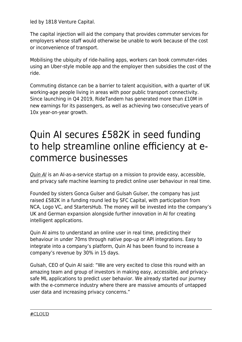led by 1818 Venture Capital.

The capital injection will aid the company that provides commuter services for employers whose staff would otherwise be unable to work because of the cost or inconvenience of transport.

Mobilising the ubiquity of ride-hailing apps, workers can book commuter-rides using an Uber-style mobile app and the employer then subsidies the cost of the ride.

Commuting distance can be a barrier to talent acquisition, with a quarter of UK working-age people living in areas with poor public transport connectivity. Since launching in Q4 2019, RideTandem has generated more than £10M in new earnings for its passengers, as well as achieving two consecutive years of 10x year-on-year growth.

### Quin AI secures £582K in seed funding to help streamline online efficiency at ecommerce businesses

[Quin AI](https://www.thequin.ai/) is an AI-as-a-service startup on a mission to provide easy, accessible, and privacy safe machine learning to predict online user behaviour in real time.

Founded by sisters Gonca Gulser and Gulsah Gulser, the company has just raised £582K in a funding round led by SFC Capital, with participation from NCA, Logo VC, and StartersHub. The money will be invested into the company's UK and German expansion alongside further innovation in AI for creating intelligent applications.

Quin AI aims to understand an online user in real time, predicting their behaviour in under 70ms through native pop-up or API integrations. Easy to integrate into a company's platform, Quin AI has been found to increase a company's revenue by 30% in 15 days.

Gulsah, CEO of Quin AI said: "We are very excited to close this round with an amazing team and group of investors in making easy, accessible, and privacysafe ML applications to predict user behavior. We already started our journey with the e-commerce industry where there are massive amounts of untapped user data and increasing privacy concerns."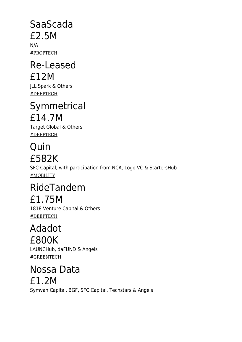### SaaScada £2.5M

N/A #PROPTECH

#### Re-Leased £12M

JLL Spark & Others #DEEPTECH

#### Symmetrical £14.7M

Target Global & Others #DEEPTECH

#### Quin £582K

SFC Capital, with participation from NCA, Logo VC & StartersHub #MOBILITY

## RideTandem £1.75M

1818 Venture Capital & Others #DEEPTECH

#### Adadot £800K

LAUNCHub, daFUND & Angels #GREENTECH

Nossa Data £1.2M Symvan Capital, BGF, SFC Capital, Techstars & Angels